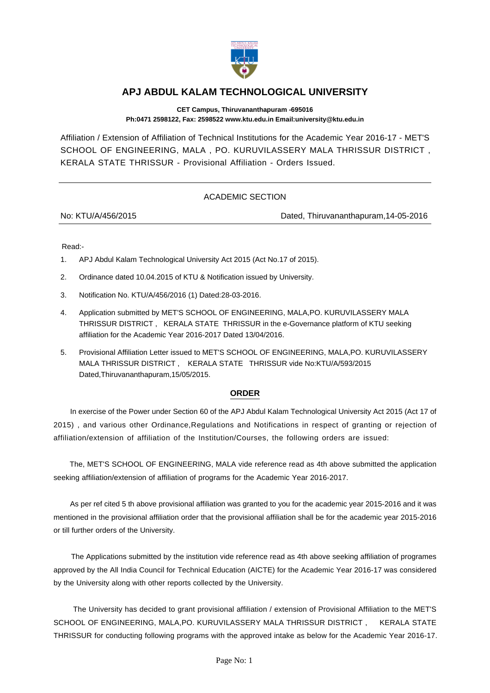

## **APJ ABDUL KALAM TECHNOLOGICAL UNIVERSITY**

**CET Campus, Thiruvananthapuram -695016 Ph:0471 2598122, Fax: 2598522 www.ktu.edu.in Email:university@ktu.edu.in**

Affiliation / Extension of Affiliation of Technical Institutions for the Academic Year 2016-17 - MET'S SCHOOL OF ENGINEERING, MALA , PO. KURUVILASSERY MALA THRISSUR DISTRICT , KERALA STATE THRISSUR - Provisional Affiliation - Orders Issued.

## ACADEMIC SECTION

No: KTU/A/456/2015 Dated, Thiruvananthapuram,14-05-2016

Read:-

- 1. APJ Abdul Kalam Technological University Act 2015 (Act No.17 of 2015).
- 2. Ordinance dated 10.04.2015 of KTU & Notification issued by University.
- 3. Notification No. KTU/A/456/2016 (1) Dated:28-03-2016.
- 4. Application submitted by MET'S SCHOOL OF ENGINEERING, MALA,PO. KURUVILASSERY MALA THRISSUR DISTRICT , KERALA STATE THRISSUR in the e-Governance platform of KTU seeking affiliation for the Academic Year 2016-2017 Dated 13/04/2016.
- 5. Provisional Affiliation Letter issued to MET'S SCHOOL OF ENGINEERING, MALA,PO. KURUVILASSERY MALA THRISSUR DISTRICT , KERALA STATE THRISSUR vide No:KTU/A/593/2015 Dated,Thiruvananthapuram,15/05/2015.

## **ORDER**

 In exercise of the Power under Section 60 of the APJ Abdul Kalam Technological University Act 2015 (Act 17 of 2015) , and various other Ordinance,Regulations and Notifications in respect of granting or rejection of affiliation/extension of affiliation of the Institution/Courses, the following orders are issued:

 The, MET'S SCHOOL OF ENGINEERING, MALA vide reference read as 4th above submitted the application seeking affiliation/extension of affiliation of programs for the Academic Year 2016-2017.

 As per ref cited 5 th above provisional affiliation was granted to you for the academic year 2015-2016 and it was mentioned in the provisional affiliation order that the provisional affiliation shall be for the academic year 2015-2016 or till further orders of the University.

 The Applications submitted by the institution vide reference read as 4th above seeking affiliation of programes approved by the All India Council for Technical Education (AICTE) for the Academic Year 2016-17 was considered by the University along with other reports collected by the University.

 The University has decided to grant provisional affiliation / extension of Provisional Affiliation to the MET'S SCHOOL OF ENGINEERING, MALA,PO. KURUVILASSERY MALA THRISSUR DISTRICT , KERALA STATE THRISSUR for conducting following programs with the approved intake as below for the Academic Year 2016-17.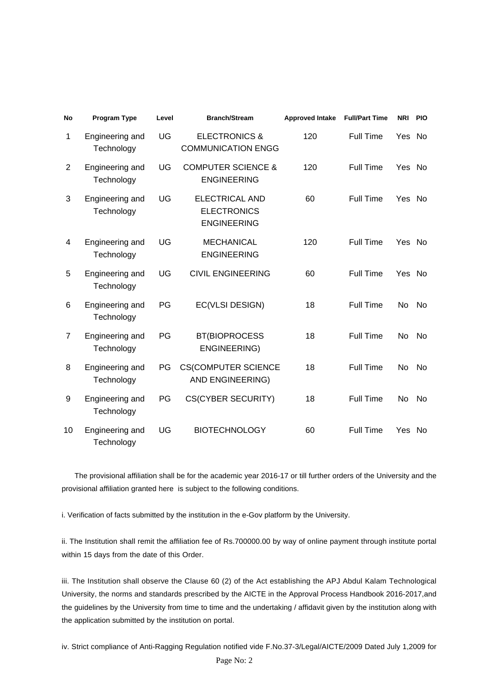| <b>No</b>      | Program Type                  | Level | <b>Branch/Stream</b>                                              | <b>Approved Intake</b> | <b>Full/Part Time</b> | <b>NRI</b> | <b>PIO</b> |
|----------------|-------------------------------|-------|-------------------------------------------------------------------|------------------------|-----------------------|------------|------------|
| 1              | Engineering and<br>Technology | UG    | <b>ELECTRONICS &amp;</b><br><b>COMMUNICATION ENGG</b>             | 120                    | <b>Full Time</b>      | Yes        | No.        |
| 2              | Engineering and<br>Technology | UG    | <b>COMPUTER SCIENCE &amp;</b><br><b>ENGINEERING</b>               | 120                    | <b>Full Time</b>      | Yes        | No.        |
| 3              | Engineering and<br>Technology | UG    | <b>ELECTRICAL AND</b><br><b>ELECTRONICS</b><br><b>ENGINEERING</b> | 60                     | <b>Full Time</b>      | Yes        | No.        |
| 4              | Engineering and<br>Technology | UG    | <b>MECHANICAL</b><br><b>ENGINEERING</b>                           | 120                    | <b>Full Time</b>      | Yes        | No.        |
| 5              | Engineering and<br>Technology | UG    | <b>CIVIL ENGINEERING</b>                                          | 60                     | <b>Full Time</b>      | Yes        | <b>No</b>  |
| 6              | Engineering and<br>Technology | PG    | EC(VLSI DESIGN)                                                   | 18                     | <b>Full Time</b>      | No         | No.        |
| $\overline{7}$ | Engineering and<br>Technology | PG    | <b>BT(BIOPROCESS</b><br><b>ENGINEERING)</b>                       | 18                     | <b>Full Time</b>      | No         | No.        |
| 8              | Engineering and<br>Technology | PG    | <b>CS(COMPUTER SCIENCE</b><br>AND ENGINEERING)                    | 18                     | <b>Full Time</b>      | No         | No.        |
| 9              | Engineering and<br>Technology | PG    | <b>CS(CYBER SECURITY)</b>                                         | 18                     | Full Time             | No         | No.        |
| 10             | Engineering and<br>Technology | UG    | <b>BIOTECHNOLOGY</b>                                              | 60                     | <b>Full Time</b>      | Yes        | No.        |

 The provisional affiliation shall be for the academic year 2016-17 or till further orders of the University and the provisional affiliation granted here is subject to the following conditions.

i. Verification of facts submitted by the institution in the e-Gov platform by the University.

ii. The Institution shall remit the affiliation fee of Rs.700000.00 by way of online payment through institute portal within 15 days from the date of this Order.

iii. The Institution shall observe the Clause 60 (2) of the Act establishing the APJ Abdul Kalam Technological University, the norms and standards prescribed by the AICTE in the Approval Process Handbook 2016-2017,and the guidelines by the University from time to time and the undertaking / affidavit given by the institution along with the application submitted by the institution on portal.

iv. Strict compliance of Anti-Ragging Regulation notified vide F.No.37-3/Legal/AICTE/2009 Dated July 1,2009 for